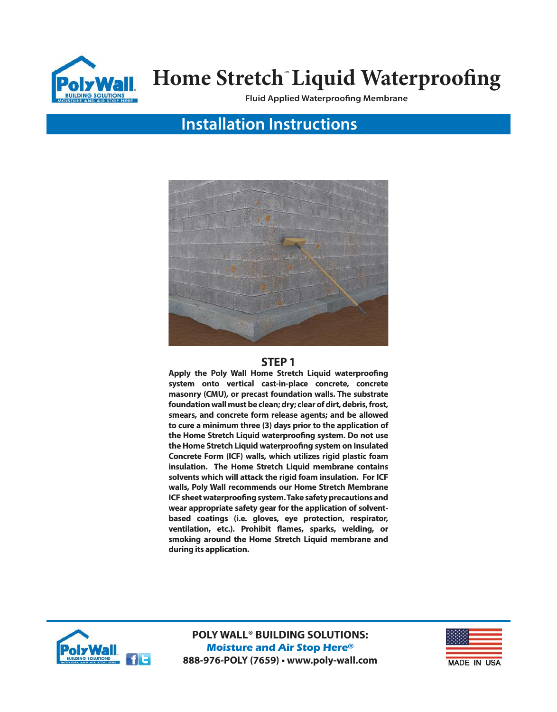

**Fluid Applied Waterproofing Membrane**

## **Installation Instructions**



### **STEP 1**

**Apply the Poly Wall Home Stretch Liquid waterproofing system onto vertical cast-in-place concrete, concrete masonry (CMU), or precast foundation walls. The substrate foundation wall must be clean; dry; clear of dirt, debris, frost, smears, and concrete form release agents; and be allowed to cure a minimum three (3) days prior to the application of the Home Stretch Liquid waterproofing system. Do not use the Home Stretch Liquid waterproofing system on Insulated Concrete Form (ICF) walls, which utilizes rigid plastic foam insulation. The Home Stretch Liquid membrane contains solvents which will attack the rigid foam insulation. For ICF walls, Poly Wall recommends our Home Stretch Membrane ICF sheet waterproofing system. Take safety precautions and wear appropriate safety gear for the application of solventbased coatings (i.e. gloves, eye protection, respirator, ventilation, etc.). Prohibit flames, sparks, welding, or smoking around the Home Stretch Liquid membrane and during its application.**



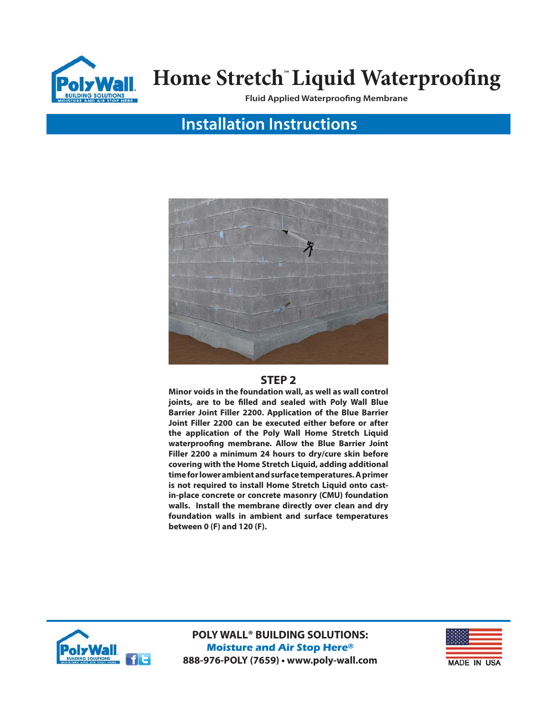

**Fluid Applied Waterproofing Membrane**

## **Installation Instructions**



### **STEP 2**

**Minor voids in the foundation wall, as well as wall control joints, are to be filled and sealed with Poly Wall Blue Barrier Joint Filler 2200. Application of the Blue Barrier Joint Filler 2200 can be executed either before or after the application of the Poly Wall Home Stretch Liquid waterproofing membrane. Allow the Blue Barrier Joint Filler 2200 a minimum 24 hours to dry/cure skin before covering with the Home Stretch Liquid, adding additional time for lower ambient and surface temperatures. A primer is not required to install Home Stretch Liquid onto castin-place concrete or concrete masonry (CMU) foundation walls. Install the membrane directly over clean and dry foundation walls in ambient and surface temperatures between 0 (F) and 120 (F).**



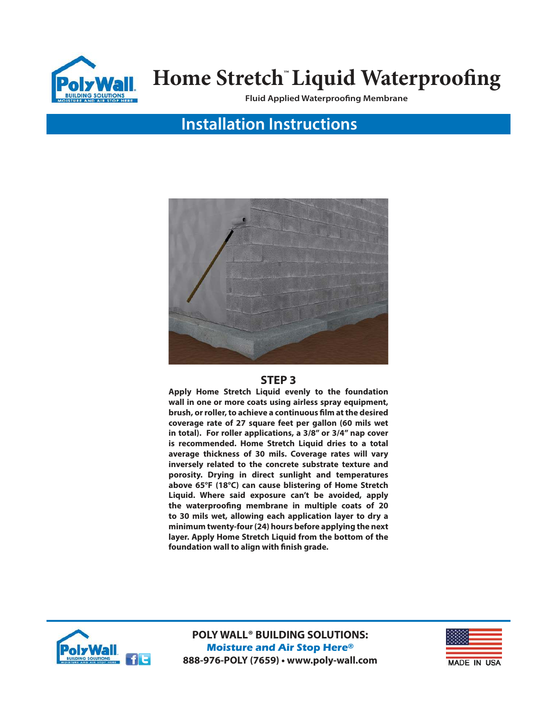

**Fluid Applied Waterproofing Membrane**

## **Installation Instructions**



#### **STEP 3**

**Apply Home Stretch Liquid evenly to the foundation wall in one or more coats using airless spray equipment, brush, or roller, to achieve a continuous film at the desired coverage rate of 27 square feet per gallon (60 mils wet in total). For roller applications, a 3/8" or 3/4" nap cover is recommended. Home Stretch Liquid dries to a total average thickness of 30 mils. Coverage rates will vary inversely related to the concrete substrate texture and porosity. Drying in direct sunlight and temperatures above 65°F (18°C) can cause blistering of Home Stretch Liquid. Where said exposure can't be avoided, apply the waterproofing membrane in multiple coats of 20 to 30 mils wet, allowing each application layer to dry a minimum twenty-four (24) hours before applying the next layer. Apply Home Stretch Liquid from the bottom of the foundation wall to align with finish grade.** 



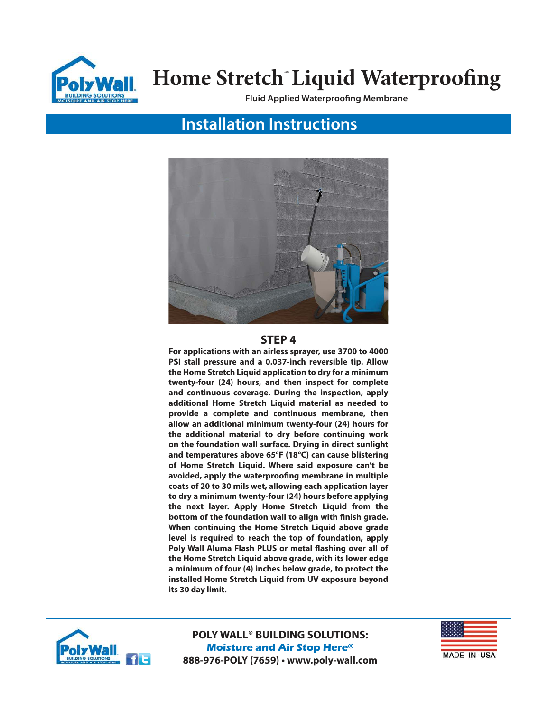

**Fluid Applied Waterproofing Membrane**

## **Installation Instructions**



#### **STEP 4**

**For applications with an airless sprayer, use 3700 to 4000 PSI stall pressure and a 0.037-inch reversible tip. Allow the Home Stretch Liquid application to dry for a minimum twenty-four (24) hours, and then inspect for complete and continuous coverage. During the inspection, apply additional Home Stretch Liquid material as needed to provide a complete and continuous membrane, then allow an additional minimum twenty-four (24) hours for the additional material to dry before continuing work on the foundation wall surface. Drying in direct sunlight and temperatures above 65°F (18°C) can cause blistering of Home Stretch Liquid. Where said exposure can't be avoided, apply the waterproofing membrane in multiple coats of 20 to 30 mils wet, allowing each application layer to dry a minimum twenty-four (24) hours before applying the next layer. Apply Home Stretch Liquid from the bottom of the foundation wall to align with finish grade. When continuing the Home Stretch Liquid above grade level is required to reach the top of foundation, apply Poly Wall Aluma Flash PLUS or metal flashing over all of the Home Stretch Liquid above grade, with its lower edge a minimum of four (4) inches below grade, to protect the installed Home Stretch Liquid from UV exposure beyond its 30 day limit.**



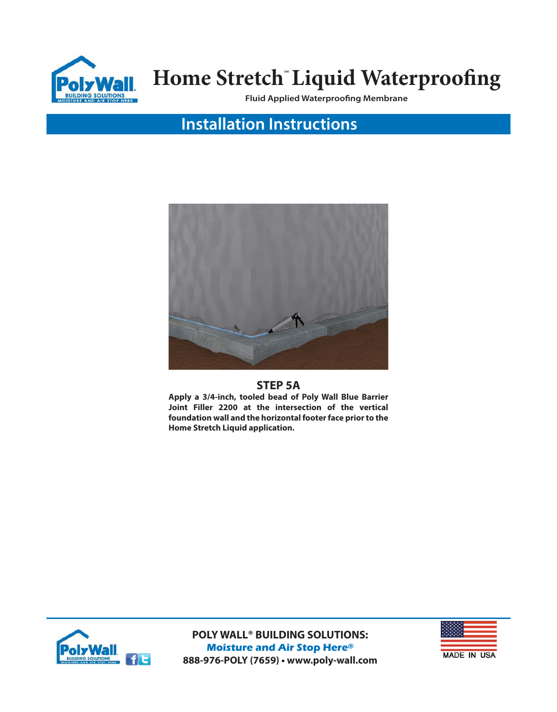

**Fluid Applied Waterproofing Membrane**

## **Installation Instructions**



### **STEP 5A**

**Apply a 3/4-inch, tooled bead of Poly Wall Blue Barrier Joint Filler 2200 at the intersection of the vertical foundation wall and the horizontal footer face prior to the Home Stretch Liquid application.**



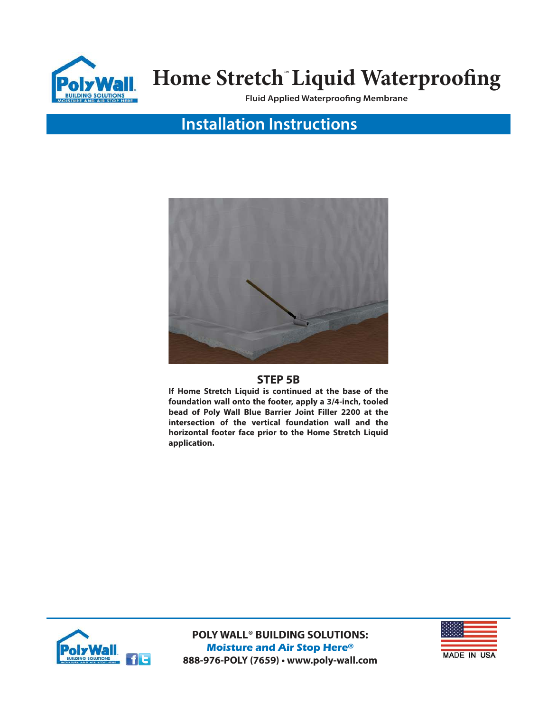

**Fluid Applied Waterproofing Membrane**

## **Installation Instructions**



### **STEP 5B**

**If Home Stretch Liquid is continued at the base of the foundation wall onto the footer, apply a 3/4-inch, tooled bead of Poly Wall Blue Barrier Joint Filler 2200 at the intersection of the vertical foundation wall and the horizontal footer face prior to the Home Stretch Liquid application.**